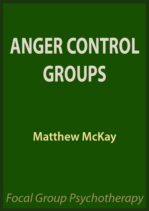# **ANGER CONTROL GROUPS**

## **Matthew McKay**

**Focal Group Psychotherapy**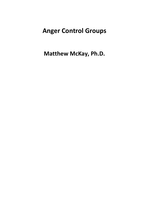### **Anger Control Groups**

**Matthew McKay, Ph.D.**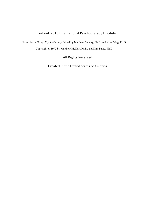#### e-Book 2015 International Psychotherapy Institute

From *Focal Group Psychotherapy* Edited by Matthew McKay, Ph.D. and Kim Paleg, Ph.D. Copyright © 1992 by Matthew McKay, Ph.D. and Kim Paleg, Ph.D.

All Rights Reserved

Created in the United States of America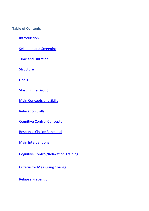#### **Table of [Contents](#page-10-0)**

**[Introduction](#page-13-0)** 

Selection and [Screening](#page-18-0)

Time and [Duration](#page-29-0)

**[Structure](#page-33-0)** 

**Goals** 

**Starting the Group** 

**Main [Concepts](#page-69-0) and Skills** 

[Relaxation](#page-71-0) Skills

Cognitive Control Concepts

Response Choice Rehearsal

**Main Interventions** 

Cognitive Control/Relaxation Training

Criteria for Measuring Change

Relapse Prevention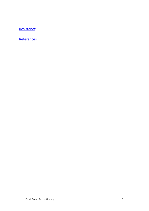**Resistance** 

**References**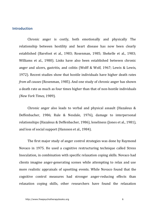#### **Introduction**

Chronic anger is costly, both emotionally and physically The relationship between hostility and heart disease has now been clearly established (Barefoot et al., 1983; Rosenman, 1985; Shekelle et al., 1983; Williams et al., 1980). Links have also been established between chronic anger and ulcers, gastritis, and colitis (Wolff & Wolf, 1967; Lewis & Lewis, 1972). Recent studies show that hostile individuals have higher death rates *from all causes* (Rosenman, 1985). And one study of chronic anger has shown a death rate as much as four times higher than that of non-hostile individuals *(New York Times,* 1989).

Chronic anger also leads to verbal and physical assault (Hazaleus  $\&$ Deffenbacher, 1986; Rule & Nesdale, 1976), damage to interpersonal relationships (Hazaleus & Deffenbacher, 1986), loneliness (Jones et al., 1981). and loss of social support (Hansson et al., 1984).

The first major study of anger control strategies was done by Raymond Novaco in 1975. He used a cognitive restructuring technique called Stress Inoculation, in combination with specific relaxation coping skills. Novaco had clients imagine anger-generating scenes while attempting to relax and use more realistic appraisals of upsetting events. While Novaco found that the cognitive control measures had stronger anger-reducing effects than relaxation coping skills, other researchers have found the relaxation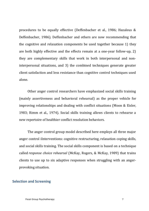procedures to be equally effective (Deffenbacher et al., 1986; Hazaleus  $\&$ Deffenbacher, 1986). Deffenbacher and others are now recommending that the cognitive and relaxation components be used together because  $1$ ) they are both highly effective and the effects remain at a one-year follow-up,  $2$ ) they are complementary skills that work in both interpersonal and noninterpersonal situations, and 3) the combined techniques generate greater client satisfaction and less resistance than cognitive control techniques used alone.

Other anger control researchers have emphasized social skills training (mainly assertiveness and behavioral rehearsal) as the proper vehicle for improving relationships and dealing with conflict situations (Moon  $&$  Eisler, 1983; Rimm et al., 1974). Social skills training allows clients to rehearse a new repertoire of healthier conflict resolution behaviors.

The anger control group model described here employs all three major anger control iInterventions: cognitive restructuring, relaxation coping skills, and social skills training. The social skills component is based on a technique called *response choice rehearsal* (McKay, Rogers, & McKay, 1989) that trains clients to use up to six adaptive responses when struggling with an angerprovoking situation.

#### **Selection and Screening**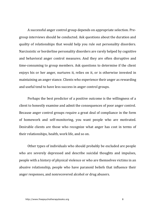A successful anger control group depends on appropriate selection. Pregroup interviews should be conducted. Ask questions about the duration and quality of relationships that would help you rule out personality disorders. Narcissistic or borderline personality disorders are rarely helped by cognitive and behavioral anger control measures. And they are often disruptive and time-consuming to group members. Ask questions to determine if the client enjovs his or her anger, nurtures it, relies on it, or is otherwise invested in maintaining an anger stance. Clients who experience their anger as rewarding and useful tend to have less success in anger control groups.

Perhaps the best predictor of a positive outcome is the willingness of a client to honestly examine and admit the consequences of poor anger control. Because anger control groups require a great deal of compliance in the form of homework and self-monitoring, you want people who are motivated. Desirable clients are those who recognize what anger has cost in terms of their relationships, health, work life, and so on.

Other types of individuals who should probably be excluded are people who are severely depressed and describe suicidal thoughts and impulses, people with a history of physical violence or who are themselves victims in an abusive relationship, people who have paranoid beliefs that influence their anger responses, and nonrecovered alcohol or drug abusers.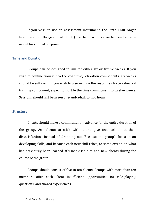If you wish to use an assessment instrument, the State Trait Anger Inventory (Spielberger et al., 1983) has been well researched and is very useful for clinical purposes.

#### **Time and Duration**

Groups can be designed to run for either six or twelve weeks. If you wish to confine yourself to the cognitive/relaxation components, six weeks should be sufficient. If you wish to also include the response choice rehearsal training component, expect to double the time commitment to twelve weeks. Sessions should last between one-and-a-half to two hours.

#### **Structure**

Clients should make a commitment in advance for the entire duration of the group. Ask clients to stick with it and give feedback about their dissatisfactions instead of dropping out. Because the group's focus in on developing skills, and because each new skill relies, to some extent, on what has previously been learned, it's inadvisable to add new clients during the course of the group.

Groups should consist of five to ten clients. Groups with more than ten members offer each client insufficient opportunities for role-playing, questions, and shared experiences.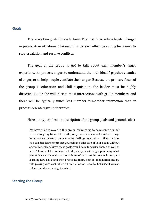#### **Goals**

There are two goals for each client. The first is to reduce levels of anger in provocative situations. The second is to learn effective coping behaviors to stop escalation and resolve conflicts.

The goal of the group is *not* to talk about each member's anger experience, to process anger, to understand the individuals' psychodynamics of anger, or to help people ventilate their anger. Because the primary focus of the group is education and skill acquisition, the leader must be highly directive. He or she will initiate most interactions with group members, and there will be typically much less member-to-member interaction than in process-oriented group therapies.

Here is a typical leader description of the group goals and ground rules:

We have a lot to cover in this group. We're going to have some fun, but we're also going to have to work pretty hard. You can achieve two things here: you can learn to reduce angry feelings, even with difficult people. You can also learn to protect yourself and take care of your needs without anger. To really achieve these goals, you'll have to work at home as well as here. There will be homework to do, and you will begin practicing what you've learned in real situations. Most of our time in here will be spent learning new skills and then practicing them, both in imagination and by role-playing with each other. There's a lot for us to do. Let's see if we can roll up our sleeves and get started.

#### **Starting the Group**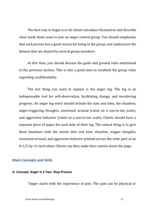The best way to begin is to let clients introduce themselves and describe what made them want to join an anger control group. You should emphasize that each person has a good reason for being in the group, and underscore the themes that are shared by several group members.

At this time, you should discuss the goals and ground rules mentioned in the previous section. This is also a good time to establish the group rules regarding confidentiality.

The last thing you need to explain is the anger log. The log is an indispensable tool for self-observation, facilitating change, and monitoring progress. An anger log entry should include the date and time, the situation, anger-triggering thoughts, emotional arousal (rated on a one-to-ten scale), and aggressive behavior (rated on a one-to-ten scale). Clients should have a separate piece of paper for each date of their log. The easiest thing is to give them handouts with the words *date and time, situation, trigger thoughts, emotional arousal,* and *aggressive behavior* printed across the wide part of an 8-1/2-by-11-inch sheet. Clients can then make their entries down the page.

#### <span id="page-10-0"></span>**Main Concepts and Skills**

#### **A. Concept: Anger Is a Two -Step Process**

"Anger starts with the experience of pain. The pain can be physical or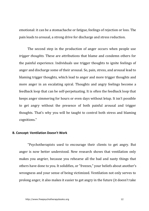emotional: it can be a stomachache or fatigue, feelings of rejection or loss. The pain leads to arousal, a strong drive for discharge and stress reduction.

The second step in the production of anger occurs when people use *trigger thoughts.* These are attributions that blame and condemn others for the painful experience. Individuals use trigger thoughts to ignite feelings of anger and discharge some of their arousal. So, pain, stress, and arousal lead to blaming trigger thoughts, which lead to anger and more trigger thoughts and more anger in an escalating spiral. Thoughts and angry feelings become a feedback loop that can be self-perpetuating. It is often the feedback loop that keeps anger simmering for hours or even days without letup. It isn't possible to get angry without the presence of both painful arousal and trigger thoughts. That's why you will be taught to control both stress and blaming cognitions."

#### **B. Concept: Ventilation Doesn't Work**

"Psychotherapists used to encourage their clients to get angry. But anger is now better understood. New research shows that ventilation only makes you angrier, because you rehearse all the bad and nasty things that others have done to you. It solidifies, or "freezes," your beliefs about another's wrongness and your sense of being victimized. Ventilation not only serves to prolong anger, it also makes it easier to get angry in the future (it doesn't take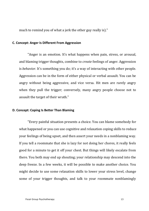much to remind you of what a jerk the other guy really is)."

#### **C. Concept: Anger Is Different From Aggression**

"Anger is an emotion. It's what happens when pain, stress, or arousal, and blaming trigger thoughts, combine to *create* feelings of anger. Aggression is *behavior*. It's something you do; it's a way of interacting with other people. Aggression can be in the form of either physical or verbal assault. You can be angry without being aggressive, and vice versa. Hit men are rarely angry when they pull the trigger; conversely, many angry people choose not to assault the target of their wrath."

#### **D. Concept: Coping Is Better Than Blaming**

"Every painful situation presents a choice. You can blame somebody for what happened or you can use cognitive and relaxation coping skills to reduce your feelings of being upset, and then assert your needs in a nonblaming way. If you tell a roommate that she is lazy for not doing her chores, it really feels good for a minute to get it off your chest. But things will likely escalate from there. You both may end up shouting; your relationship may descend into the deep freeze. In a few weeks, it will be possible to make another choice. You might decide to use some relaxation skills to lower your stress level, change some of your trigger thoughts, and talk to your roommate nonblamingly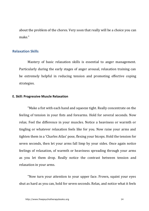about the problem of the chores. Very soon that really will be a choice you can make."

#### <span id="page-13-0"></span>**Relaxation Skills**

Mastery of basic relaxation skills is essential to anger management. Particularly during the early stages of anger arousal, relaxation training can be extremely helpful in reducing tension and promoting effective coping strategies.

#### **E. Skill: Progressive Muscle Relaxation**

"Make a fist with each hand and squeeze tight. Really concentrate on the feeling of tension in your fists and forearms. Hold for several seconds. Now relax. Feel the difference in your muscles. Notice a heaviness or warmth or tingling or whatever relaxation feels like for you. Now raise your arms and tighten them in a 'Charles Atlas' pose, flexing your biceps. Hold the tension for seven seconds, then let your arms fall limp by your sides. Once again notice feelings of relaxation, of warmth or heaviness spreading through your arms as you let them drop. Really notice the contrast between tension and relaxation in your arms.

"Now turn your attention to your upper face. Frown, squint your eyes shut as hard as you can, hold for seven seconds. Relax, and notice what it feels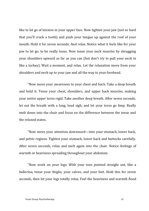like to let go of tension in your upper face. Now tighten your jaw (not so hard that you'll crack a tooth) and push your tongue up against the roof of vour mouth. Hold it for seven seconds. And relax. Notice what it feels like for your jaw to let go, to be really loose. Now tense your neck muscles by shrugging your shoulders upward as far as you can (but don't try to pull your neck in like a turkey). Wait a moment, and relax. Let the relaxation move from your shoulders and neck up to your jaw and all the way to your forehead.

"Now move your awareness to your chest and back. Take a deep breath and hold it. Tense your chest, shoulders, and upper back muscles, making your entire upper torso rigid. Take another deep breath. After seven seconds, let out the breath with a long, loud sigh, and let your torso go limp. Really melt down into the chair and focus on the difference between the tense and the relayed states

"Now move vour attention downward—into vour stomach, lower back, and pelvic regions. Tighten your stomach, lower back and buttocks carefully. After seven seconds, relax and melt again into the chair. Notice feelings of warmth or heaviness spreading throughout your abdomen.

"Now work on your legs. With your toes pointed straight out, like a ballerina, tense your thighs, your calves, and your feet. Hold this for seven seconds, then let your legs totally relax. Feel the heaviness and warmth flood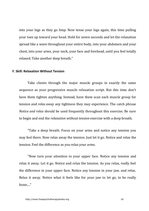into your legs as they go limp. Now tense your legs again, this time pulling your toes up toward your head. Hold for seven seconds and let the relaxation spread like a wave throughout your entire body, into your abdomen and your chest, into your arms, your neck, your face and forehead, until you feel totally relaxed. Take another deep breath."

#### **F. Skill: Relaxation Without Tension**

Take clients through the major muscle groups in exactly the same sequence as your progressive muscle relaxation script. But this time don't have them tighten anything. Instead, have them scan each muscle group for tension and *relax away* any tightness they may experience. The catch phrase *Notice and relax* should be used frequently throughout this exercise. Be sure to begin and end the *relaxation* without tension exercise with a deep breath.

"Take a deep breath. Focus on your arms and notice any tension you may feel there. Now relax away the tension. Just let it go. Notice and relax the tension. Feel the difference as you relax your arms.

"Now turn your attention to your upper face. Notice any tension and relax it away. Let it go. Notice and relax the tension. As you relax, really feel the difference in your upper face. Notice any tension in your jaw, and relax. Relax it away. Notice what it feels like for your jaw to let go, to be really  $loose$ ..."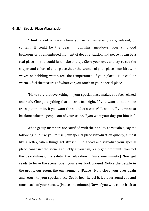#### **G. Skill: Special Place Visualization**

"Think about a place where you've felt especially safe, relaxed, or content. It could be the beach, mountains, meadows, your childhood bedroom, or a remembered moment of deep relaxation and peace. It can be a real place, or you could just make one up. Close your eyes and try to see the shapes and colors of your place...hear the sounds of your place, hear birds, or waves or babbling water...feel the temperature of your place—is it cool or warm?...feel the textures of whatever you touch in your special place.

"Make sure that everything in your special place makes you feel relaxed and safe. Change anything that doesn't feel right. If you want to add some trees, put them in. If you want the sound of a waterfall, add it. If you want to be alone, take the people out of your scene. If you want your dog, put him in."

When group members are satisfied with their ability to visualize, say the following: "I'd like you to use your special place visualization quickly, almost like a reflex, when things get stressful. Go ahead and visualize your special place, construct the scene as quickly as you can, really get into it until you feel the peacefulness, the safety, the relaxation. [Pause one minute.] Now get ready to leave the scene. Open your eves, look around. Notice the people in the group, our room, the environment. [Pause.] Now close your eyes again and return to your special place. See it, hear it, feel it, let it surround you and touch each of your senses. [Pause one minute.] Now, if you will, come back to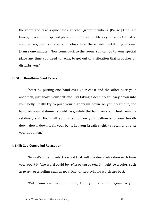the room and take a quick look at other group members. [Pause.] One last time go back to the special place. Get there as quickly as you can, let it bathe your senses, see its shapes and colors, hear the sounds, feel if in your skin. [Pause one minute.] Now come back to the room. You can go to your special place any time you need to relax, to get out of a situation that provokes or disturbs you."

#### **H. Skill: Breathing-Cued Relaxation**

"Start by putting one hand over your chest and the other over your abdomen, just above your belt line. Try taking a deep breath, way down into your belly. Really try to push your diaphragm down. As you breathe in, the hand on your abdomen should rise, while the hand on your chest remains relatively still. Focus all your attention on your belly—send your breath down, down, down to fill your belly. Let your breath slightly stretch, and relax vour abdomen."

#### **I. Skill: Cue-Controlled Relaxation**

"Now it's time to select a word that will cue deep relaxation each time you repeat it. The word could be *relax* or *om* or *one*. It might be a color, such as *green*, or a feeling, such as *love.* One- or two-syllable words are best.

"With your cue word in mind, turn your attention again to your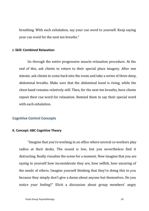breathing. With each exhalation, say your cue word to yourself. Keep saying your cue word for the next ten breaths."

#### **J. Skill: Combined Relaxation**

Go through the entire progressive muscle relaxation procedure. At the end of this, ask clients to return to their special place imagery. After one minute, ask clients to come back into the room and take a series of three deep, abdominal breaths. Make sure that the abdominal hand is rising, while the chest hand remains relatively still. Then, for the next ten breaths, have clients repeat their cue word for relaxation. Remind them to say their special word with each exhalation

#### <span id="page-18-0"></span>**Cognitive Control Concepts**

#### **K. Concept: ABC Cognitive Theory**

"Imagine that you're working in an office where several co-workers play radios at their desks. The sound is low, but you nevertheless find it distracting. Really visualize the scene for a moment. Now imagine that you are saying to yourself how inconsiderate they are, how selfish, how uncaring of the needs of others. Imagine yourself thinking that they're doing this to you because they simply don't give a damn about anyone but themselves. Do you notice vour feeling?" Elicit a discussion about group members' angry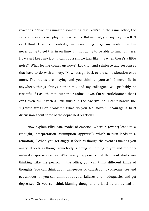reactions. "Now let's imagine something else. You're in the same office, the same co-workers are playing their radios. But instead, you say to yourself: 'I can't think, I can't concentrate, I'm never going to get my work done. I'm never going to get this in on time. I'm not going to be able to function here. How can I keep my job if I can't do a simple task like this when there's a little noise?' What feeling comes up now?" Look for and reinforce any responses that have to do with anxiety. "Now let's go back to the same situation once more. The radios are playing and you think to yourself, 'I never fit in anywhere, things always bother me, and my colleagues will probably be resentful if I ask them to turn their radios down. I'm so rattlebrained that I can't even think with a little music in the background. I can't handle the slightest stress or problem.' What do you feel now?" Encourage a brief discussion about some of the depressed reactions.

Now explain Ellis' ABC model of emotion, where *A* (event) leads to *B* (thought, interpretation, assumption, appraisal), which in turn leads to  $C$ (emotion). "When you get angry, it feels as though the event is making you angry. It feels as though somebody is doing something to you and the only natural response is anger. What really happens is that the event starts you thinking. Like the person in the office, you can think different kinds of thoughts. You can think about dangerous or catastrophic consequences and get anxious, or you can think about your failures and inadequacies and get depressed. Or you can think blaming thoughts and label others as bad or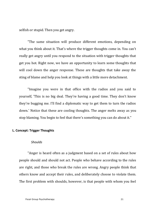selfish or stupid. Then you get angry.

"The same situation will produce different emotions, depending on what you think about it. That's where the trigger thoughts come in. You can't really get angry until you respond to the situation with trigger thoughts that get you hot. Right now, we have an opportunity to learn some thoughts that will cool down the anger response. These are thoughts that take away the sting of blame and help you look at things with a little more detachment.

"Imagine you were in that office with the radios and you said to yourself, 'This is no big deal. They're having a good time. They don't know they're bugging me. I'll find a diplomatic way to get them to turn the radios down.' Notice that these are cooling thoughts. The anger melts away as you stop blaming. You begin to feel that there's something you can do about it."

#### **L. Concept: Trigger Thoughts**

#### *Shoulds*

"Anger is heard often as a judgment based on a set of rules about how people should and should not act. People who behave according to the rules are right, and those who break the rules are wrong. Angry people think that others know and accept their rules, and deliberately choose to violate them. The first problem with shoulds, however, is that people with whom you feel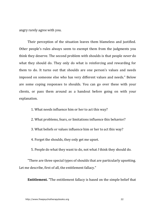angry rarely agree with you.

Their perception of the situation leaves them blameless and justified. Other people's rules always seem to exempt them from the judgments you think they deserve. The second problem with shoulds is that people *never* do what they should do. They only do what is reinforcing and rewarding for them to do. It turns out that shoulds are one person's values and needs imposed on someone else who has very different values and needs." Below are some coping responses to shoulds. You can go over these with your clients, or pass them around as a handout before going on with your explanation.

1. What needs influence him or her to act this way?

- 2. What problems, fears, or limitations influence this behavior?
- 3. What beliefs or values influence him or her to act this way?

4. Forget the shoulds, they only get me upset.

5. People do what they want to do, not what *I* think they should do.

"There are three special types of shoulds that are particularly upsetting. Let me describe, first of all, the entitlement fallacy."

**Entitlement.** "The entitlement fallacy is based on the simple belief that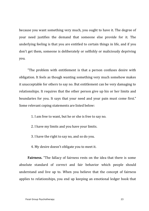because you want something very much, you ought to have it. The degree of your need justifies the demand that someone else provide for it. The underlying feeling is that you are entitled to certain things in life, and if you don't get them, someone is deliberately or selfishly or maliciously depriving you.

"The problem with entitlement is that a person confuses desire with obligation. It feels as though wanting something very much somehow makes it unacceptable for others to say no. But entitlement can be very damaging to relationships. It requires that the other person give up his or her limits and boundaries for you. It says that your need and your pain must come first." Some relevant coping statements are listed below:

- 1. I am free to want, but he or she is free to say no.
- 2. I have my limits and you have your limits.
- 3. I have the right to say no, and so do you.
- 4. My desire doesn't obligate you to meet it.

**Fairness.** "The fallacy of fairness rests on the idea that there is some absolute standard of correct and fair behavior which people should understand and live up to. When you believe that the concept of fairness applies to relationships, you end up keeping an emotional ledger book that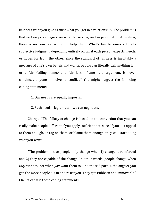balances what you give against what you get in a relationship. The problem is that no two people agree on what fairness is, and in personal relationships, there is no court or arbiter to help them. What's fair becomes a totally subjective judgment, depending entirely on what each person expects, needs, or hopes for from the other. Since the standard of fairness is inevitably a measure of one's own beliefs and wants, people can literally call anything fair or unfair. Calling someone unfair just inflames the argument. It never convinces anyone or solves a conflict." You might suggest the following coping statements:

1. Our needs are equally important.

2. Each need is legitimate—we can negotiate.

**Change.** "The fallacy of change is based on the conviction that you can really make people different if you apply sufficient pressure. If you just appeal to them enough, or rag on them, or blame them enough, they will start doing what you want.

"The problem is that people only change when  $1$ ) change is reinforced and 2) they are capable of the change. In other words, people change when *they* want to, not when *you* want them to. And the sad part is, the angrier you get, the more people dig in and resist you. They get stubborn and immovable." Clients can use these coping statements: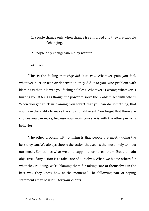- 1. People change only when change is reinforced and they are capable of changing.
- 2. People only change when they want to.

#### *Blamers*

"This is the feeling that *they did it to you*. Whatever pain you feel, whatever hurt or fear or deprivation, they did it to you. One problem with blaming is that it leaves you feeling helpless. Whatever is wrong, whatever is hurting you, it feels as though the power to solve the problem lies with others. When you get stuck in blaming, you forget that you can do something, that you have the ability to make the situation different. You forget that there are choices you can make, because your main concern is with the other person's behavior.

"The other problem with blaming is that people are mostly doing the best they can. We always choose the action that seems the most likely to meet our needs. Sometimes what we do disappoints or hurts others. But the main objective of any action is to take care of ourselves. When we blame others for what they're doing, we're blaming them for taking care of themselves in the best way they know how at the moment." The following pair of coping statements may be useful for your clients: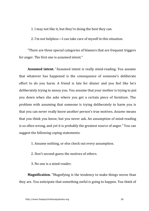1. I may not like it, but they're doing the best they can.

2. I'm not helpless—I can take care of myself in this situation.

"There are three special categories of blamers that are frequent triggers for anger. The first one is assumed intent."

**Assumed intent.** "Assumed intent is really mind-reading. You assume that whatever has happened is the consequence of someone's deliberate effort to do you harm. A friend is late for dinner and you feel like he's deliberately trying to annoy you. You assume that your mother is trying to put you down when she asks where you got a certain piece of furniture. The problem with assuming that someone is trying deliberately to harm you is that you can never really know another person's true motives. *Assume* means that you think you know, but you never ask. An assumption of mind-reading is so often wrong, and yet it is probably the greatest source of anger." You can suggest the following coping statements:

1. Assume nothing, or else check out every assumption.

2. Don't second-guess the motives of others.

3. No one is a mind-reader.

**Magnification.** "Magnifying is the tendency to make things worse than they are. You anticipate that something awful is going to happen. You think of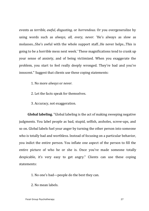events as *terrible, awful, disgusting, or horrendous*. Or you overgeneralize by using words such as *always, all, every, never.* 'He's always as slow as molasses...She's awful with the whole support staff...He never helps...This is going to be a horrible mess next week.' These magnifications tend to crank up your sense of anxiety, and of being victimized. When you exaggerate the problem, you start to feel really deeply wronged. They're bad and you're innocent." Suggest that clients use these coping statements:

- 1. No more *always* or *never.*
- 2. Let the facts speak for themselves.
- 3. Accuracy, not exaggeration.

**Global labeling.** "Global labeling is the act of making sweeping negative judgments. You label people as bad, stupid, selfish, assholes, screw-ups, and so on. Global labels fuel your anger by turning the other person into someone who is totally bad and worthless. Instead of focusing on a particular behavior, you indict the entire person. You inflate one aspect of the person to fill the entire picture of who he or she is. Once you've made someone totally despicable, it's very easy to get angry." Clients can use these coping statements:

1. No one's bad—people do the best they can.

2. No mean labels.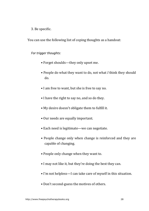#### 3. Be specific.

You can use the following list of coping thoughts as a handout:

#### For trigger thoughts:

- Forget shoulds—they only upset me.
- People do what they want to do, not what *I* think they should do.
- I am free to want, but she is free to say no.
- I have the right to say no, and so do they.
- My desire doesn't obligate them to fulfill it.
- Our needs are equally important.
- Each need is legitimate—we can negotiate.
- People change only when change is reinforced and they are capable of changing.
- People only change when they want to.
- I may not like it, but they're doing the best they can.
- I'm not helpless—I can take care of myself in this situation.
- Don't second-guess the motives of others.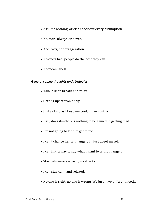- Assume nothing, or else check out every assumption.
- No more always or never.
- Accuracy, not exaggeration.
- No one's bad, people do the best they can.
- No mean labels

#### General coping thoughts and strategies:

- Take a deep breath and relax.
- Getting upset won't help.
- Just as long as I keep my cool, I'm in control.
- Easy does it—there's nothing to be gained in getting mad.
- I'm not going to let him get to me.
- I can't change her with anger; I'll just upset myself.
- I can find a way to say what I want to without anger.
- Stay calm—no sarcasm, no attacks.
- I can stay calm and relaxed.
- No one is right, no one is wrong. We just have different needs.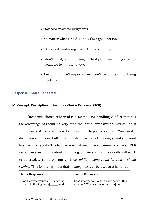- Stay cool, make no judgments.
- No matter what is said, I know I'm a good person.
- I'll stay rational—anger won't solve anything.
- I don't like it, but he's using the best problem-solving strategy available to him right now.
- Her opinion isn't important—I won't be pushed into losing my cool.

#### <span id="page-29-0"></span>**Response Choice Rehearsal**

#### **M. Concept: Description of Response Choice Rehearsal (RCR)**

"Response choice rehearsal is a method for handling conflict that has the advantage of requiring very little thought or preparation. You can do it when you're stressed and you don't have time to plan a response. You can still do it even when your buttons are pushed, you're getting angry, and you want to smash somebody. The bad news is that you'll have to memorize the six RCR responses (see RCR handout). But the good news is that they really will work to de-escalate some of your conflicts while making room for real problem *solving.*" The following list of *RCR opening lines* can be used as a handout:

1. Ask for what you want: I'm feeling [what's bothering me is] \_\_\_\_\_\_. And

#### Active Responses **Passive Responses**

4. Get information: What do you need in this situation? What concerns [worries] you in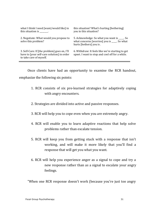| what I think I need [want/would like] in<br>this situation is finite.                                                 | this situation? What's hurting [bothering]<br>you in this situation?                                        |
|-----------------------------------------------------------------------------------------------------------------------|-------------------------------------------------------------------------------------------------------------|
| 2. Negotiate: What would you propose to<br>solve this problem?                                                        | 5. Acknowledge: So what you want is So<br>what concerns [worries] you is So what<br>hurts [bothers] you is. |
| 3. Self-Care: If [the problem] goes on, I'll<br>have to [your self-care solution] in order<br>to take care of myself. | 6. Withdraw: It feels like we're starting to get<br>upset. I want to stop and cool off for a while.         |

Once clients have had an opportunity to examine the RCR handout, emphasize the following six points:

- 1. RCR consists of six pre-learned strategies for adaptively coping with angry encounters.
- 2. Strategies are divided into active and passive responses.
- 3. RCR will help you to cope even when you are extremely angry.
- 4. RCR will enable you to learn adaptive reactions that help solve problems rather than escalate tension.
- 5. RCR will keep you from getting stuck with a response that isn't working, and will make it more likely that you'll find a response that will get you what you want.
- 6. RCR will help you experience anger as a signal to cope and try a new response rather than as a signal to escalate your angry feelings.

"When one RCR response doesn't work (because vou're just too angry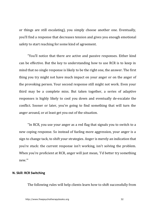or things are still escalating), you simply choose another one. Eventually, you'll find a response that decreases tension and gives you enough emotional safety to start reaching for some kind of agreement.

"You'll notice that there are active and passive responses. Either kind can be effective. But the key to understanding how to use RCR is to keep in mind that no single response is likely to be the right one, the answer. The first thing you try might not have much impact on your anger or on the anger of the provoking person. Your second response still might not work. Even your third may be a complete miss. But taken together, a series of adaptive responses is highly likely to cool you down and eventually de-escalate the conflict. Sooner or later, you're going to find something that will turn the anger around, or at least get you out of the situation.

"In RCR, you use your anger as a red flag that signals you to switch to a new coping response. So instead of fueling more aggression, your anger is a sign to change tack, to shift your strategies. Anger is merely an indication that you're stuck: the current response isn't working, isn't solving the problem. When you're proficient at RCR, anger will just mean, 'I'd better try something new.'"

#### **N. Skill: RCR Switching**

The following rules will help clients learn how to shift successfully from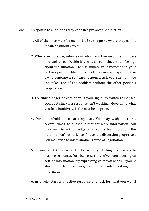one RCR response to another as they cope in a provocative situation.

- 1. All of the lines must be memorized to the point where they can be recalled without effort
- 2. Whenever possible, rehearse in advance active response numbers one and three. Decide if you wish to include your feelings about the situation. Then formulate your request and your fallback position. Make sure it's behavioral and specific. Also try to generate a self-care response. Ask yourself how you can take care of the problem without the other person's cooperation.
- 3. Continued anger or escalation is your signal to switch responses. Don't get stuck if a response isn't working. Move on to what you feel, intuitively, is the next best option.
- 4. Don't be afraid to repeat responses. You may wish to return, several times, to questions that get more information. You may wish to acknowledge what you're learning about the other person's experience. And as the discussion progresses, you may wish to invite another round of negotiation.
- 5. If you don't know what to do next, try shifting from active to passive responses (or vice versa). If you've been focusing on getting information, try expressing your own needs. If you're stuck in fruitless negotiation, consider asking for information.
- 6. As a rule, start with active response one (ask for what you want)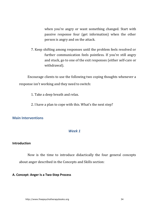when vou're angry or want something changed. Start with passive response four (get information) when the other person is angry and on the attack.

7. Keep shifting among responses until the problem feels resolved or further communication feels pointless. If you're still angry and stuck, go to one of the exit responses (either self-care or withdrawal).

Encourage clients to use the following two coping thoughts whenever a response isn't working and they need to switch:

- 1. Take a deep breath and relax.
- 2. I have a plan to cope with this. What's the next step?

#### <span id="page-33-0"></span>**Main Interventions**

#### *Week 1*

#### **Introduction**

Now is the time to introduce didactically the four general concepts about anger described in the Concepts and Skills section:

#### **A. Concept: Anger Is a Two-Step Process**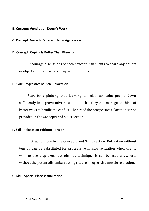#### **B. Concept: Ventilation Doesn't Work**

#### **C. Concept: Anger Is Different From Aggression**

#### **D. Concept: Coping Is Better Than Blaming**

Encourage discussions of each concept. Ask clients to share any doubts or objections that have come up in their minds.

#### **E. Skill: Progressive Muscle Relaxation**

Start by explaining that learning to relax can calm people down sufficiently in a provocative situation so that they can manage to think of better ways to handle the conflict. Then read the progressive relaxation script provided in the Concepts and Skills section.

#### **F. Skill: Relaxation Without Tension**

Instructions are in the Concepts and Skills section. Relaxation without tension can be substituted for progressive muscle relaxation when clients wish to use a quicker, less obvious technique. It can be used anywhere, without the potentially embarrassing ritual of progressive muscle relaxation.

#### **G. Skill: Special Place Visualization**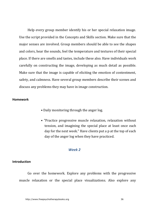Help every group member identify his or her special relaxation image. Use the script provided in the Concepts and Skills section. Make sure that the major senses are involved. Group members should be able to see the shapes and colors, hear the sounds, feel the temperature and textures of their special place. If there are smells and tastes, include these also. Have individuals work carefully on constructing the image, developing as much detail as possible. Make sure that the image is capable of eliciting the emotion of contentment, safety, and calmness. Have several group members describe their scenes and discuss any problems they may have in image construction.

#### **Homework**

- Daily monitoring through the anger log.
- "Practice progressive muscle relaxation, relaxation without tension, and imagining the special place at least once each day for the next week." Have clients put a p at the top of each day of the anger log when they have practiced.

#### *Week 2*

#### **Introduction**

Go over the homework. Explore any problems with the progressive muscle relaxation or the special place visualizations. Also explore any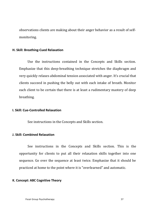observations clients are making about their anger behavior as a result of selfmonitoring.

#### **H. Skill: Breathing-Cued Relaxation**

Use the instructions contained in the Concepts and Skills section. Emphasize that this deep-breathing technique stretches the diaphragm and very quickly relaxes abdominal tension associated with anger. It's crucial that clients succeed in pushing the belly out with each intake of breath. Monitor each client to be certain that there is at least a rudimentary mastery of deep breathing.

# **I. Skill: Cue-Controlled Relaxation**

See instructions in the Concepts and Skills section.

# **J. Skill: Combined Relaxation**

See instructions in the Concepts and Skills section. This is the opportunity for clients to put all their relaxation skills together into one sequence. Go over the sequence at least twice. Emphasize that it should be practiced at home to the point where it is "overlearned" and automatic.

## **K. Concept: ABC Cognitive Theory**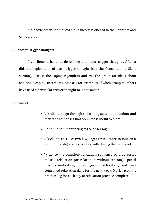A didactic description of cognitive theory is offered in the Concepts and Skills section

#### **L. Concept: Trigger Thoughts**

Give clients a handout describing the major trigger thoughts. After a didactic explanation of each trigger thought (see the Concepts and Skills section), discuss the coping rejoinders and ask the group for ideas about additional coping statements. Also ask for examples of when group members have used a particular trigger thought to ignite anger.

# **Homework**

- Ask clients to go through the coping statement handout and mark the responses that seem most useful to them.
- "Continue self-monitoring in the anger log."
- Ask clients to select two low-anger (rated three to four on a ten-point scale) scenes to work with during the next week.
- "Practice the complete relaxation sequence of progressive muscle relaxation (or relaxation without tension), special place visualization, breathing-cued relaxation, and cuecontrolled relaxation daily for the next week. Mark a p on the practice log for each day of relaxation practice completed."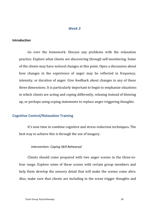# *Week 3*

#### **Introduction**

Go over the homework. Discuss any problems with the relaxation practice. Explore what clients are discovering through self-monitoring. Some of the clients may have noticed changes at this point. Open a discussion about how changes in the experience of anger may be reflected in frequency, intensity, or duration of anger. Give feedback about changes in any of these three dimensions. It is particularly important to begin to emphasize situations in which clients are acting and coping differently, relaxing instead of blowing up, or perhaps using coping statements to replace anger-triggering thoughts.

## **Cognitive Control/Relaxation Training**

It's now time to combine cognitive and stress-reduction techniques. The best way to achieve this is through the use of imagery.

#### *Intervention: Coping Skill Rehearsal*

Clients should come prepared with two anger scenes in the three-tofour range. Explore some of these scenes with certain group members and help them develop the sensory detail that will make the scenes come alive. Also, make sure that clients are including in the scene trigger thoughts and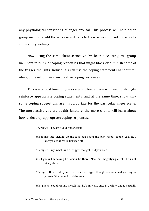any physiological sensations of anger arousal. This process will help other group members add the necessary details to their scenes to evoke viscerally some angry feelings.

Now, using the same client scenes you've been discussing, ask group members to think of coping responses that might block or diminish some of the trigger thoughts. Individuals can use the coping statements handout for ideas, or develop their own creative coping responses.

This is a critical time for you as a group leader. You will need to strongly reinforce appropriate coping statements, and at the same time, show why some coping suggestions are inappropriate for the particular anger scene. The more active you are at this juncture, the more clients will learn about how to develop appropriate coping responses.

*Therapist:* Iill, what's your anger scene?

*Jill:* John's late picking up the kids again and the play-school people call. He's always late, it really ticks me off.

*Therapist:* Okay, what kind of trigger thoughts did you use?

- *Jill:* I guess I'm saying he *should* be there. Also, I'm magnifying a bit—he's not *always* late.
- *Therapist:* How could you cope with the trigger thought—what could you say to yourself that would cool the anger:

*Jill:* I guess I could remind myself that he's only late once in a while, and it's usually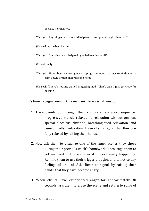because he's harried.

*Therapist:* Anything else that would help from the coping thoughts handout?

*Jill:* He does the best he can.

*Therapist:* Does that really help—do you believe that at all?

*Jill:* Not really.

- *Therapist:* How about a more general coping statement that just reminds you to calm down, or that anger doesn't help?
- *Jill:* Yeah. 'There's nothing gained in getting mad." That's true. I just get crazy for nothing.

It's time to begin *coping skill rehearsal*. Here's what you do.

- 1. Have clients go through their complete relaxation sequence: progressive muscle relaxation, relaxation without tension, special place visualization, breathing-cued relaxation, and cue-controlled relaxation. Have clients signal that they are fully relaxed by raising their hands.
- 2. Now ask them to visualize one of the anger scenes they chose during their previous week's homework. Encourage them to get involved in the scene as if it were really happening. Remind them to use their trigger thoughts and to notice any feelings of arousal. Ask clients to signal, by raising their hands, that they have become angry.
- 3. When clients have experienced anger for approximately 30 seconds, ask them to erase the scene and return to some of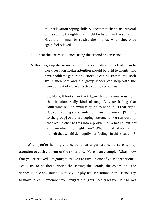their relaxation coping skills. Suggest that clients use several of the coping thoughts that might be helpful in the situation. Have them signal, by raising their hands, when they once again feel relaxed.

- 4. Repeat the entire sequence, using the second anger scene.
- 5. Have a group discussion about the coping statements that seem to work best. Particular attention should be paid to clients who have problems generating effective coping statements. Both group members and the group leader can help with the development of more effective coping responses.

So, Mary, it looks like the trigger thoughts you're using in the situation really kind of magnify your feeling that something bad or awful is going to happen, is that right? But your coping statements don't seem to work.... [Turning] to the group] Are there coping statements we can develop that would change this into a problem or a hassle, but not an overwhelming nightmare? What could Mary say to herself that would demagnify her feelings in this situation?

When you're helping clients build an anger scene, be sure to pay attention to each element of the experience. Here is an example: "Okay, now that you're relaxed, I'm going to ask you to turn on one of your anger scenes. Really try to be there. Notice the setting, the details, the colors, and the shapes. Notice any sounds. Notice your physical sensations in the scene. Try to make it real. Remember your trigger thoughts—really let yourself go. Get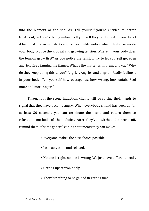into the blamers or the shoulds. Tell yourself you're entitled to better treatment, or they're being unfair. Tell yourself they're doing it to you. Label it bad or stupid or selfish. As your anger builds, notice what it feels like inside your body. Notice the arousal and growing tension. Where in your body does the tension grow first? As you notice the tension, try to let yourself get even angrier. Keep fanning the flames. What's the matter with them, anyway? Why do they keep doing this to you? Angrier. Angrier and angrier. Really feeling it in your body. Tell yourself how outrageous, how wrong, how unfair. Feel more and more anger."

Throughout the scene induction, clients will be raising their hands to signal that they have become angry. When everybody's hand has been up for at least 30 seconds, you can terminate the scene and return them to relaxation methods of their choice. After they've switched the scene off, remind them of some general coping statements they can make:

- Everyone makes the best choice possible.
- I can stay calm and relaxed.
- No one is right, no one is wrong. We just have different needs.
- Getting upset won't help.
- There's nothing to be gained in getting mad.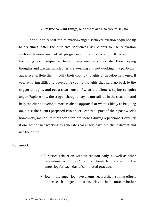• I'm free to want things, but others are also free to say no.

Continue to repeat the relaxation/anger scene/relaxation sequence up to six times. After the first two sequences, ask clients to use relaxation without tension instead of progressive muscle relaxation. It saves time. Following each sequence, have group members describe their coping thoughts and discuss which ones are working and not working in a particular anger scene. Help them modify their coping thoughts or develop new ones. If you're having difficulty developing coping thoughts that help, go back to the trigger thoughts and get a clear sense of what the client is saying to ignite anger. Explore how the trigger thought may be unrealistic in the situation and help the client develop a more realistic appraisal of what is likely to be going on. Since the clients prepared two anger scenes as part of their past week's homework, make sure that they alternate scenes during repetitions. However, if one scene isn't working to generate real anger, have the client drop it and use the other

## **Homework**

- "Practice relaxation without tension daily, as well as other relaxation techniques." Remind clients to mark a p in the anger log for each day of completed practice.
- Now in the anger log have clients record their coping efforts under each anger situation. Have them note whether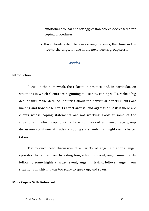emotional arousal and/or aggression scores decreased after coping procedures.

• Have clients select two more anger scenes, this time in the five-to-six range, for use in the next week's group session.

## *Week 4*

# **Introduction**

Focus on the homework, the relaxation practice, and, in particular, on situations in which clients are beginning to use new coping skills. Make a big deal of this. Make detailed inquiries about the particular efforts clients are making and how those efforts affect arousal and aggression. Ask if there are clients whose coping statements are not working. Look at some of the situations in which coping skills have not worked and encourage group discussion about new attitudes or coping statements that might yield a better result.

Try to encourage discussion of a variety of anger situations: anger episodes that come from brooding long after the event, anger immediately following some highly charged event, anger in traffic, leftover anger from situations in which it was too scary to speak up, and so on.

#### **More Coping Skills Rehearsal**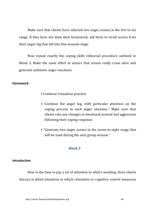Make sure that clients have selected two anger scenes in the five-to-six range. If they have not done their homework, ask them to recall scenes from their anger log that fall into this arousal range.

Now repeat exactly the coping skills rehearsal procedure outlined in Week 3. Make the same effort to ensure that scenes really come alive and generate authentic anger reactions.

## **Homework**

- Continue relaxation practice.
- Continue the anger log, with particular attention on the coping process in each anger situation." Make sure that clients rate any changes in emotional arousal and aggression following their coping response.
- "Generate two anger scenes in the seven-to-eight range that will be used during the next group session."

# *Week 5*

#### **Introduction**

Now is the time to pay a lot of attention to what's working. Have clients discuss in detail situations in which relaxation or cognitive control measures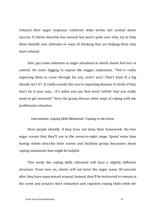reduced their anger response. Celebrate what works. Get excited about success. If clients describe less arousal but aren't quite sure why, try to help them identify new attitudes or ways of thinking that are helping them stay more relaxed.

Also, pay some attention to anger situations in which clients feel less in control. Do some digging to expose the trigger statements. "You're really expecting them to come through for you, aren't you?...That's kind of a big should, isn't it?...It really sounds like you're expecting disaster to strike if they don't do it your way.... It's when you use that word 'selfish' that you really seem to get incensed." Have the group discuss other ways of coping with the problematic situation.

#### *Intervention: Coping Skills Rehearsal—Coping in the Scene*

Have people identify, if they have not done their homework, the two anger scenes that they'll use in the seven-to-eight range. Spend some time having clients describe their scenes and facilitate group discussion about coping statements that might be helpful.

This week, the coping skills rehearsal will have a slightly different structure. From now on, clients will not leave the anger scene 30 seconds after they have experienced arousal. Instead, they'll be instructed to remain in the scene and practice their relaxation and cognitive coping skills *while the*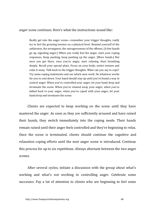#### *anger scene continues.* Here's what the instructions sound like:

Really get into the anger scene—remember your trigger thoughts, really try to feel the growing tension on a physical level. Remind yourself of the unfairness, the wrongness, the outrageousness of the offense. [A few hands go up, signaling anger.] When you really feel the anger, start your coping responses. Keep pushing, keep pushing up the anger. [More hands.] But once you get there, once you're angry, start relaxing. Start breathing deeply. Recall your special place. Focus on your body; notice tension and relax it away. Talk back to the trigger thoughts. What can you say to cope? Try some coping statements and see which ones work. Do whatever works for you to cool down. Your hand should stay up until you've found a way to control anger. When you've controlled your anger, let your hand drop and terminate the scene. When you've relaxed away your anger, when you've talked back to your anger, when you've coped with your anger, let your hand drop and terminate the scene.

Clients are expected to keep working on the scene until they have mastered the anger. As soon as they are sufficiently aroused and have raised their hands, they switch immediately into the coping mode. Their hands remain raised until their anger feels controlled and they're beginning to relax. Once the scene is terminated, clients should continue the cognitive and relaxation coping efforts until the next anger scene is introduced. Continue this process for up to six repetitions. Always alternate between the two anger scenes.

After several cycles, initiate a discussion with the group about what's working and what's not working in controlling anger. Celebrate some successes. Pay a lot of attention to clients who are beginning to feel some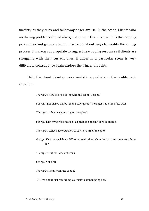mastery as they relax and talk away anger arousal in the scene. Clients who are having problems should also get attention. Examine carefully their coping procedures and generate group discussion about ways to modify the coping process. It's always appropriate to suggest new coping responses if clients are struggling with their current ones. If anger in a particular scene is very difficult to control, once again explore the trigger thoughts.

Help the client develop more realistic appraisals in the problematic situation.

*Therapist:* How are you doing with the scene, George?

*George:* I get pissed off, but then I stay upset. The anger has a life of its own.

*Therapist:* What are your trigger thoughts?

*George:* That my girlfriend's selfish, that she doesn't care about me.

*Therapist:* What have you tried to say to yourself to cope?

*George:* That we each have different needs, that I shouldn't assume the worst about her.

*Therapist:* But that doesn't work.

George: Not a bit.

*Therapist:* Ideas from the group?

Al: How about just reminding yourself to stop judging her?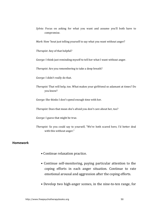*Sylvia:* Focus on asking for what you want and assume you'll both have to compromise.

*Mark:* How 'bout just telling yourself to say what you want without anger?

*Therapist:* Any of that helpful?

*George:* I think just reminding myself to tell her what I want without anger.

*Therapist:* Are you remembering to take a deep breath?

*George:* I didn't really do that.

*Therapist:* That will help, too. What makes your girlfriend so adamant at times? Do you know?

*George:* She thinks I don't spend enough time with her.

*Therapist:* Does that mean she's afraid you don't care about her, too?

*George:* I guess that might be true.

*Therapist:* So you could say to yourself, "We're both scared here, I'd better deal with this without anger."

# **Homework**

- Continue relaxation practice.
- Continue self-monitoring, paying particular attention to the coping efforts in each anger situation. Continue to rate emotional arousal and aggression after the coping efforts.
- Develop two high-anger scenes, in the nine-to-ten range, for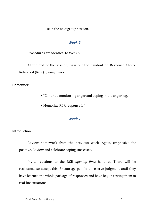use in the next group session.

#### *Week 6*

Procedures are identical to Week 5.

At the end of the session, pass out the handout on Response Choice Rehearsal (RCR) *opening lines.* 

#### **Homework**

- "Continue monitoring anger and coping in the anger log.
- Memorize RCR response 1."

## *Week 7*

## **Introduction**

Review homework from the previous week. Again, emphasize the positive. Review and celebrate coping successes.

Invite reactions to the RCR *opening lines* handout. There will be resistance, so accept this. Encourage people to reserve judgment until they have learned the whole package of responses and have begun testing them in real-life situations.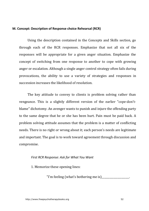## **M. Concept: Description of Response choice Rehearsal (RCR)**

Using the description contained in the Concepts and Skills section, go through each of the RCR responses. Emphasize that not all six of the responses will be appropriate for a given anger situation. Emphasize the concept of switching from one response to another to cope with growing anger or escalation. Although a single anger control strategy often fails during provocations, the ability to use a variety of strategies and responses in succession increases the likelihood of resolution.

The key attitude to convey to clients is problem solving rather than vengeance. This is a slightly different version of the earlier "cope-don'tblame" dichotomy. An avenger wants to punish and injure the offending party to the same degree that he or she has been hurt. Pain must be paid back. A problem solving attitude assumes that the problem is a matter of conflicting needs. There is no right or wrong about it; each person's needs are legitimate and important. The goal is to work toward agreement through discussion and compromise.

#### *First RCR Response: Ask for What You Want*

1. Memorize these opening lines:

"I'm feeling (what's bothering me is)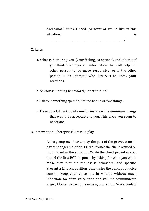And what I think I need (or want or would like in this situation) is

2. Rules.

a. What is bothering you (your feeling) is optional. Include this if you think it's important information that will help the other person to be more responsive, or if the other person is an intimate who deserves to know your reactions.

\_\_\_\_\_\_\_\_\_\_\_\_\_\_\_\_\_\_\_\_\_\_\_\_\_\_\_\_\_\_\_\_\_\_\_\_\_\_\_\_\_\_\_\_\_\_\_\_\_\_\_\_\_\_\_\_\_\_\_."

- b. Ask for something behavioral, not attitudinal.
- c. Ask for something specific, limited to one or two things.
- d. Develop a fallback position—for instance, the minimum change that would be acceptable to you. This gives you room to negotiate.
- 3. Intervention: Therapist-client role-play.

Ask a group member to play the part of the provocateur in a recent anger situation. Find out what the client wanted or didn't want in the situation. While the client provokes you, model the first RCR response by asking for what you want. Make sure that the request is behavioral and specific. Present a fallback position. Emphasize the concept of voice control. Keep your voice low in volume without much inflection. So often voice tone and volume communicate anger, blame, contempt, sarcasm, and so on. Voice control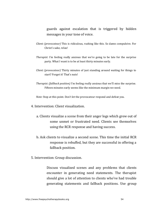guards against escalation that is triggered by hidden messages in your tone of voice.

- *Client: (provocateur)* This is ridiculous, rushing like this. So damn compulsive. For Christ's sake, relax!
- *Therapist:* I'm feeling really anxious that we're going to be late for the surprise party. What I want is to be at least thirty minutes early.
- *Client:* (*provocateur*) Thirty minutes of just standing around waiting for things to start? Forget it! That's nuts!
- *Therapist: (fallback position)* I'm feeling really anxious that we'll miss the surprise. Fifteen minutes early seems like the minimum margin we need.

*Note:* Stop at this point. Don't let the provocateur respond and defeat you.

- 4. Intervention: Client visualization.
	- a. Clients visualize a scene from their anger logs which grew out of some unmet or frustrated need. Clients see themselves using the RCR response and having success.
	- b. Ask clients to visualize a second scene. This time the initial RCR response is rebuffed, but they are successful in offering a fallback position.
- 5. Intervention: Group discussion.

Discuss visualized scenes and any problems that clients encounter in generating need statements. The therapist should give a lot of attention to clients who've had trouble generating statements and fallback positions. Use group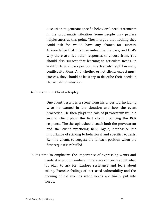discussion to generate specific behavioral need statements in the problematic situation. Some people may profess helplessness at this point. They'll argue that nothing they could ask for would have any chance for success. Acknowledge that this may indeed be the case, and that's why there are five other responses to choose from. You should also suggest that learning to articulate needs, in addition to a fallback position, is extremely helpful in many conflict situations. And whether or not clients expect much success, they should at least try to describe their needs in the visualized situation.

6. Intervention: Client role-play.

One client describes a scene from his anger log, including what he wanted in the situation and how the event proceeded. He then plays the role of provocateur while a second client plays the first client practicing the RCR response. The therapist should coach both the provocateur and the client practicing RCR. Again, emphasize the importance of sticking to behavioral and specific requests. Remind clients to suggest the fallback position when the first request is rebuffed.

7. It's time to emphasize the importance of expressing wants and needs. Ask group members if there are concerns about what it's okay to ask for. Explore resistance and fears about asking. Exercise feelings of increased vulnerability and the opening of old wounds when needs are finally put into words.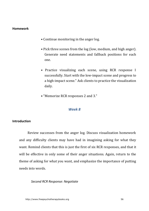#### **Homework**

- Continue monitoring in the anger log.
- Pick three scenes from the log (low, medium, and high anger). Generate need statements and fallback positions for each one.
- Practice visualizing each scene, using RCR response I successfully. Start with the low-impact scene and progress to a high-impact scene." Ask clients to practice the visualization daily.
- "Memorize RCR responses 2 and 3."

## *Week 8*

## **Introduction**

Review successes from the anger log. Discuss visualization homework and any difficulty clients may have had in imagining asking for what they want. Remind clients that this is just the first of six RCR responses, and that it will be effective in only some of their anger situations. Again, return to the theme of asking for what you want, and emphasize the importance of putting needs into words.

*Second RCR Response: Negotiate*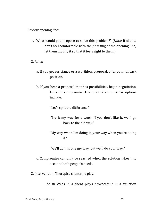Review opening line:

- 1. "What would you propose to solve this problem?" (*Note:* If clients don't feel comfortable with the phrasing of the opening line. let them modify it so that it feels right to them.)
- $2$ . Rules.
	- a. If you get resistance or a worthless proposal, offer your fallback position.
	- b. If you hear a proposal that has possibilities, begin negotiation. Look for compromise. Examples of compromise options include:

"Let's split the difference."

- "Try it my way for a week. If you don't like it, we'll go back to the old way."
- "My way when I'm doing it, your way when you're doing it."

"We'll do this one my way, but we'll do your way."

- c. Compromise can only be reached when the solution takes into account both people's needs.
- 3. Intervention: Therapist-client role play.

As in Week 7, a client plays provocateur in a situation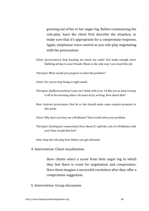growing out of his or her anger log. Before commencing the role-play, have the client first describe the situation, to make sure that it's appropriate for a compromise response. Again, emphasize voice control as you role-play negotiating with the provocateur.

*Client:* (provocateur) Stop hassling me about my radio! You make enough noise blabbing all day to your friends. Music is the only way I can stand this job.

*Therapist:* What would you propose to solve the problem?

*Client:* For you to stop being so tight-assed.

- *Therapist: (fallback position)* I just can't think with it on. I'd like you at least to keep it off in the morning when I do most of my writing. How about that?
- *Note:* Instruct provocateur that he or she should make some counter-proposal at this noint.

*Client:* Why don't you buy me a Walkman? That would solve your problem.

*Therapist: (looking for compromise)* How about if I split the cost of a Walkman with you? How would that feel?

*Note:* Stop the role-play here before you get defeated.

4. Intervention: Client visualization.

Have clients select a scene from their anger log in which they feel there is room for negotiation and compromise. Have them imagine a successful resolution after they offer a compromise suggestion.

5. Intervention: Group discussion.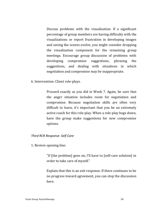Discuss problems with the visualization. If a significant percentage of group members are having difficulty with the visualizations or report frustration in developing images and seeing the scenes evolve, you might consider dropping the visualization component for the remaining group meetings. Encourage group discussion of problems with developing compromise suggestions, phrasing the suggestions, and dealing with situations in which negotiation and compromise may be inappropriate.

6. Intervention: Client role-plays.

Proceed exactly as you did in Week 7. Again, be sure that the anger situation includes room for negotiation and compromise. Because negotiation skills are often very difficult to learn, it's important that you be an extremely active coach for this role-play. When a role-play bogs down, have the group make suggestions for new compromise options.

# *Third RCR Response: Self-Care*

1. Review opening line:

"If [the problem] goes on, I'll have to [self-care solution] in order to take care of myself."

Explain that this is an exit response. If there continues to be no progress toward agreement, you can stop the discussion here.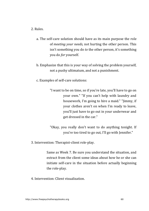2. Rules.

- a. The self-care solution should have as its main purpose the role of *meeting your needs*, not hurting the other person. This isn't something you do *to* the other person, it's something you do *for* yourself.
- b. Emphasize that this is your way of solving the problem yourself, not a pushy ultimatum, and not a punishment.
- c. Examples of self-care solutions:
	- "I want to be on time, so if you're late, you'll have to go on your own." "If you can't help with laundry and housework, I'm going to hire a maid." "Jimmy, if your clothes aren't on when I'm ready to leave, you'll just have to go out in your underwear and get dressed in the car."

"Okay, you really don't want to do anything tonight. If you're too tired to go out, I'll go with Jennifer."

3. Intervention: Therapist-client role-play.

Same as Week 7. Be sure you understand the situation, and extract from the client some ideas about how he or she can initiate self-care in the situation before actually beginning the role-play.

4. Intervention: Client visualization.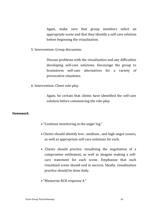Again, make sure that group members select an appropriate scene and that they identify a self-care solution before beginning the visualization.

5. Intervention: Group discussion.

Discuss problems with the visualization and any difficulties developing self-care solutions. Encourage the group to brainstorm self-care alternatives for a variety of provocative situations.

6. Intervention: Client role-play.

Again, be certain that clients have identified the self-care solution before commencing the role-play.

#### **Homework**

- "Continue monitoring in the anger log."
- Clients should identify low-, medium-, and high-anger scenes, as well as appropriate self-care solutions for each.
- Clients should practice visualizing the negotiation of a compromise settlement, as well as imagine making a selfcare statement for each scene. Emphasize that each visualized scene should end in success. Ideally, visualization practice should be done daily.
- "Memorize RCR response 4."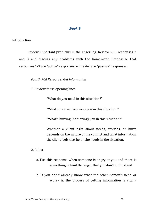# *Week 9*

#### **Introduction**

Review important problems in the anger log. Review RCR responses 2 and 3 and discuss any problems with the homework. Emphasize that responses 1-3 are "active" responses, while 4-6 are "passive" responses.

#### *Fourth RCR Response: Get Information*

1. Review these opening lines:

"What do you need in this situation?"

"What concerns (worries) you in this situation?"

"What's hurting (bothering) you in this situation?"

Whether a client asks about needs, worries, or hurts depends on the nature of the conflict and what information the client feels that he or she needs in the situation.

2. Rules.

- a. Use this response when someone is angry at you and there is something behind the anger that you don't understand.
- b. If you don't already know what the other person's need or worry is, the process of getting information is vitally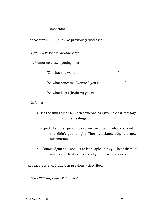important.

Repeat steps 3, 4, 5, and 6 as previously discussed.

*Fifth RCR Response: Acknowledge*

1. Memorize these opening lines:

"So what you want is  $\frac{1}{2}$  what you want is  $\frac{1}{2}$  and  $\frac{1}{2}$  ."

"So what concerns (worries) you is  $\blacksquare$ 

"So what hurts (bothers) you is \_\_\_\_\_\_\_\_\_\_\_\_\_\_\_\_\_."

2. Rules.

- a. Use the fifth response when someone has given a clear message about his or her feelings.
- b. Expect the other person to correct or modify what you said if you didn't get it right. Then re-acknowledge the new information.
- c. Acknowledgment is not just to let people know you hear them. It is a way to clarify and correct your misconceptions.

Repeat steps 3, 4, 5, and 6 as previously described.

*Sixth RCR Response: Withdrawal*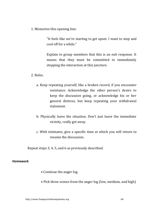1. Memorize this opening line:

"It feels like we're starting to get upset. I want to stop and cool off for a while."

Explain to group members that this is an exit response. It means that they must be committed to immediately stopping the interaction at this juncture.

2. Rules.

- a. Keep repeating yourself, like a broken record, if you encounter resistance. Acknowledge the other person's desire to keep the discussion going, or acknowledge his or her general distress, but keep repeating your withdrawal statement.
- b. Physically leave the situation. Don't just leave the immediate vicinity, really get away.
- c. With intimates, give a specific time at which you will return to resume the discussion

Repeat steps 3, 4, 5, and 6 as previously described.

## **Homework**

- Continue the anger log.
- Pick three scenes from the anger log (low, medium, and high)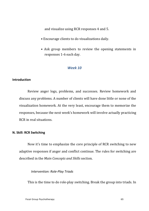and visualize using RCR responses 4 and 5.

- Encourage clients to do visualizations daily.
- Ask group members to review the opening statements in responses 1-6 each day.

## *Week 10*

# **Introduction**

Review anger logs, problems, and successes. Review homework and discuss any problems. A number of clients will have done little or none of the visualization homework. At the very least, encourage them to memorize the responses, because the next week's homework will involve actually practicing RCR in real situations.

## **N. Skill: RCR Switching**

Now it's time to emphasize the core principle of RCR switching to new adaptive responses if anger and conflict continue. The rules for switching are described in the *Main Concepts and Skills* section.

#### *Intervention: Role-Play Triads*

This is the time to do role-play switching. Break the group into triads. In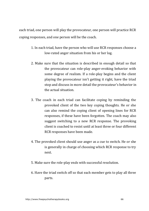each triad, one person will play the provocateur, one person will practice RCR coping responses, and one person will be the coach.

- 1. In each triad, have the person who will use RCR responses choose a low-rated anger situation from his or her log.
- 2. Make sure that the situation is described in enough detail so that the provocateur can role-play anger-evoking behavior with some degree of realism. If a role-play begins and the client playing the provocateur isn't getting it right, have the triad stop and discuss in more detail the provocateur's behavior in the actual situation
- 3. The coach in each triad can facilitate coping by reminding the provoked client of the two key coping thoughts. He or she can also remind the coping client of opening lines for RCR responses, if these have been forgotten. The coach may also suggest switching to a new RCR response. The provoking client is coached to resist until at least three or four different RCR responses have been made.
- 4. The provoked client should use anger as a cue to switch. He or she is generally in charge of choosing which RCR response to try next.
- 5. Make sure the role-play ends with successful resolution.
- 6. Have the triad switch off so that each member gets to play all three parts.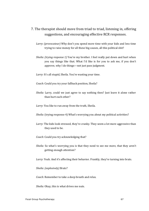# 7. The therapist should move from triad to triad, listening in, offering suggestions, and encouraging effective RCR responses.

- *Larry:* (provocateur) Why don't you spend more time with your kids and less time trying to raise money for all these big causes, all this political shit?
- *Sheila: (trying response 1)* You're my brother. I feel really put down and hurt when you say things like that. What I'd like is for you to ask me, if you don't approve, why I do things—not just pass judgment.
- Larry: It's all stupid, Sheila. You're wasting your time.
- *Coach:* Could you try your fallback position, Sheila?
- *Sheila:* Larry, could we just agree to say nothing then? Just leave it alone rather than hurt each other?
- Larry: You like to run away from the truth, Sheila.
- *Sheila:* (trying response 4) What's worrying you about my political activities?
- Larry: The kids look stressed, they're cranky. They seem a lot more aggressive than they used to be.
- *Coach:* Could you try acknowledging that?
- *Sheila:* So what's worrying you is that they need to see me more, that they aren't getting enough attention?

*Larry:* Yeah. And it's affecting their behavior. Frankly, they're turning into brats.

*Sheila: (explosively)* Brats?

*Coach:* Remember to take a deep breath and relax.

*Sheila:* Okay, this is what drives me nuts.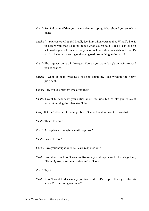- *Coach:* Remind yourself that you have a plan for coping. What should you switch to next?
- *Sheila: (trying response 1 again)* I really feel hurt when you say that. What I'd like is to assure you that I'll think about what you've said. But I'd also like an acknowledgment from you that you know I care about my kids and that it's hard to balance parenting with trying to do something in the world.
- *Coach:* The request seems a little vague. How do you want Larry's behavior toward you to change?
- *Sheila:* I want to hear what he's noticing about my kids without the heavy judgment.
- *Coach:* How can you put that into a request?
- *Sheila:* I want to hear what you notice about the kids, but I'd like you to say it without judging the other stuff I do.

Larry: But the "other stuff" is the problem, Sheila. You don't want to face that.

*Sheila:* This is too much!

*Coach:* A deep breath...maybe an exit response?

*Sheila:* Like self-care?

*Coach:* Have you thought out a self-care response yet?

*Sheila:* I could tell him I don't want to discuss my work again. And if he brings it up, I'll simply stop the conversation and walk out.

Coach: Try it.

*Sheila:* I don't want to discuss my political work. Let's drop it. If we get into this again, I'm just going to take off.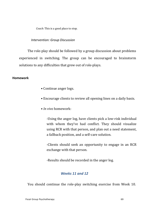*Coach:* This is a good place to stop.

*Intervention: Group Discussion*

The role-play should be followed by a group discussion about problems experienced in switching. The group can be encouraged to brainstorm solutions to any difficulties that grew out of role-plays.

## **Homework**

- Continue anger logs.
- Encourage clients to review all opening lines on a daily basis.
- • *In vivo* homework:

-Using the anger log, have clients pick a low-risk individual with whom they've had conflict. They should visualize using RCR with that person, and plan out a need statement, a fallback position, and a self-care solution.

-Clients should seek an opportunity to engage in an RCR exchange with that person.

-Results should be recorded in the anger log.

# *Weeks 11 and 12*

You should continue the role-play switching exercise from Week 10.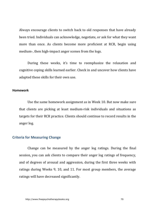Always encourage clients to switch back to old responses that have already been tried. Individuals can acknowledge, negotiate, or ask for what they want more than once. As clients become more proficient at RCR, begin using medium-, then high-impact anger scenes from the logs.

During these weeks, it's time to reemphasize the relaxation and cognitive coping skills learned earlier. Check in and uncover how clients have adapted these skills for their own use.

## **Homework**

Use the same homework assignment as in Week 10. But now make sure that clients are picking at least medium-risk individuals and situations as targets for their RCR practice. Clients should continue to record results in the anger log.

#### **Criteria for Measuring Change**

Change can be measured by the anger log ratings. During the final session, you can ask clients to compare their anger log ratings of frequency, and of degrees of arousal and aggression, during the first three weeks with ratings during Weeks 9, 10, and 11. For most group members, the average ratings will have decreased significantly.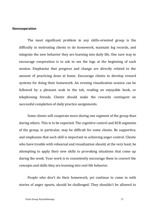## **Noncooperation**

The most significant problem in any skills-oriented group is the difficulty in motivating clients to do homework, maintain log records, and integrate the new behavior they are learning into daily life. One sure way to encourage cooperation is to ask to see the  $\log s$  at the beginning of each session. Emphasize that progress and change are directly related to the amount of practicing done at home. Encourage clients to develop reward systems for doing their homework. An evening visualization session can be followed by a pleasant soak in the tub, reading an enjoyable book, or telephoning friends. Clients should make the rewards *contingent* on successful completion of daily practice assignments.

Some clients will cooperate more during one segment of the group than during others. This is to be expected. The cognitive control and RCR segments of the group, in particular, may be difficult for some clients. Be supportive, and emphasize that each skill is important in achieving anger control. Clients who have trouble with rehearsal and visualization should, at the very least, be attempting to apply their new skills to provoking situations that come up during the week. Your work is to consistently encourage them to convert the concepts and skills they are learning into real-life behavior.

People who don't do their homework, yet continue to come in with stories of anger upsets, should be challenged. They shouldn't be allowed to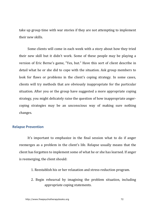take up group time with war stories if they are not attempting to implement their new skills

Some clients will come in each week with a story about how they tried their new skill but it didn't work. Some of these people may be playing a version of Eric Berne's game, "Yes, but." Have this sort of client describe in detail what he or she did to cope with the situation. Ask group members to look for flaws or problems in the client's coping strategy. In some cases, clients will try methods that are obviously inappropriate for the particular situation. After you or the group have suggested a more appropriate coping strategy, you might delicately raise the question of how inappropriate angercoping strategies may be an unconscious way of making sure nothing changes.

## **Relapse Prevention**

It's important to emphasize in the final session what to do if anger reemerges as a problem in the client's life. Relapse usually means that the client has forgotten to implement some of what he or she has learned. If anger is reemerging, the client should:

- 1. Reestablish his or her relaxation and stress-reduction program.
- 2. Begin rehearsal by imagining the problem situation, including appropriate coping statements.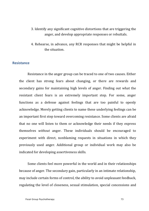- 3. Identify any significant cognitive distortions that are triggering the anger, and develop appropriate responses or rebuttals.
- 4. Rehearse, in advance, any RCR responses that might be helpful in the situation

## **Resistance**

Resistance in the anger group can be traced to one of two causes. Either the client has strong fears about changing, or there are rewards and secondary gains for maintaining high levels of anger. Finding out what the resistant client fears is an extremely important step. For some, anger functions as a defense against feelings that are too painful to openly acknowledge. Merely getting clients to name these underlying feelings can be an important first step toward overcoming resistance. Some clients are afraid that no one will listen to them or acknowledge their needs if they express themselves *without* anger. These individuals should be encouraged to experiment with direct, nonblaming requests in situations in which they previously used anger. Additional group or individual work may also be indicated for developing assertiveness skills.

Some clients feel more powerful in the world and in their relationships because of anger. The secondary gain, particularly in an intimate relationship, may include certain forms of control, the ability to avoid unpleasant feedback, regulating the level of closeness, sexual stimulation, special concessions and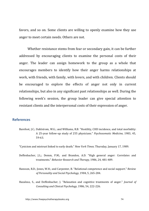favors, and so on. Some clients are willing to openly examine how they use anger to meet certain needs. Others are not.

Whether resistance stems from fear or secondary gain, it can be further addressed by encouraging clients to examine the personal costs of their anger. The leader can assign homework to the group as a whole that encourages members to identify how their anger harms relationships at work, with friends, with family, with lovers, and with children. Clients should be encouraged to explore the effects of anger not only in current relationships, but also in any significant past relationships as well. During the following week's session, the group leader can give special attention to resistant clients and the interpersonal costs of their expression of anger.

## **References**

Barefoot, J.C.; Dahlstrom, W.G.; and Williams, R.B. "Hostility, CHD incidence, and total morbidity: A 25-year follow-up study of 255 physicians." *Psychosomatic Medicine,* 1983, 45, 59-63.

"Cynicism and mistrust linked to early death." *New York Times*. Thursday, January 17, 1989.

- Deffenbacher, J.L.; Demm, P.M.; and Brandon, A.D. "High general anger: Correlates and treatments." *Behavior Research and Therapy,* 1986, 24, 481-489.
- Hansson, R.D.; Jones, W.H.; and Carpenter, B. "Relational competence and social support." *Review of Personality and Social Psychology,* 1984, 5, 265-284.
- Hazaleus, S., and Deffenbacher, J. "Relaxation and cognitive treatments of anger." *Journal of Consulting and Clinical Psychology,* 1986, 54, 222-226.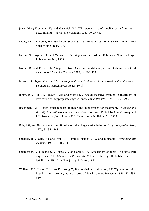- Jones, W.H.; Freeman, J.E.; and Gasewick, R.A. "The persistence of loneliness: Self and other determinants." *Journal of Personality*, 1981, 49, 27-48.
- Lewis, H.K., and Lewis, M.E. Psychosomatics: How Your Emotions Can Damage Your Health. New York: Viking Press, 1972.
- McKay, M.; Rogers, PR.; and McKay, J. *When Anger Hurts.* Oakland, California: New Harbinger Publications, Inc., 1989.
- Moon, J.R., and Eisler, R.M. "Anger control: An experimental comparison of three behavioral treatments." *Behavior Therapy*, 1983, 14, 493-505.
- Novaco, R. *Anger Control: The Development and Evolution of an Experimental Treatment.* Lexington, Massachusetts: Heath, 1975.
- Rimm, D.C.; Hill, G.A.; Brown, N.H.; and Stuart, J.E. "Group-assertive training in treatment of expression of inappropriate anger." *Psychological Reports*, 1974, 34, 794-798.
- Rosenman, R.H. "Health consequences of anger and implications for treatment." In *Anger and Hostility in Cardiovascular and Behavioral Disorders.* Edited by M.A. Chesney and R.H. Rosenman, Washington, D.C.: Hemisphere Publishing Co., 1985.
- Rule, B.G., and Nesdale, A.R. "Emotional arousal and aggressive behavior." *Psychological Bulletin,* 1976, 83, 851-863.
- Shekelle, R.B.; Gale, M.; and Paul, D. "Hostility, risk of CHD, and mortality." *Psychosomatic Medicine,* 1983, 45, 109-114.
- Spielberger, C.D.; Jacobs, G.A.; Russell, S.; and Crane, R.S. "Assessment of anger: The state-trait anger scale." In *Advances in Personality*, Vol. 2. Edited by J.N. Butcher and C.D. Spielberger, Hillsdale, New Jersey: Erlbaum, 1983.
- Williams, R.B.; Haney, T.L.; Lee, K.I.; Kong, Y.; Blumenthal, A.; and Walen, R.E. "Type A behavior, hostility, and coronary atherosclerosis," *Psychosomatic Medicine*, 1980, 42, 539-549.